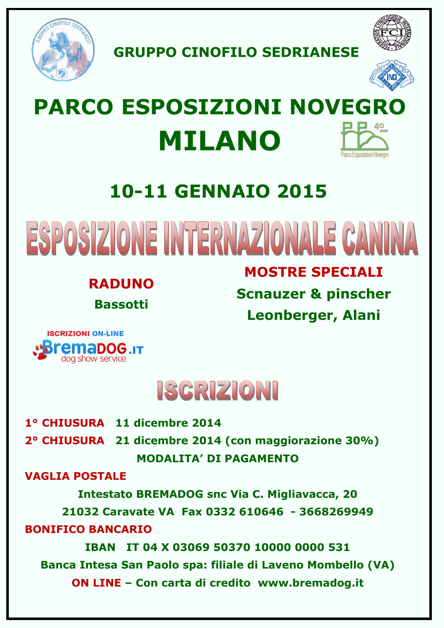

**GRUPPO CINOFILO SEDRIANESE** 



# **PARCO ESPOSIZIONI NOVEGRO MILANO** arco Esposizioni Nover

# **10-11 GENNAIO 2015**

ESPOSIZIONE INTERNAZIONALE CANINA

**RADUNO Bassotti** 

**MOSTRE SPECIALI Scnauzer & pinscher Leonberger, Alani** 





**1° CHIUSURA 11 dicembre 2014** 

**2° CHIUSURA 21 dicembre 2014 (con maggiorazione 30%) MODALITA' DI PAGAMENTO** 

**VAGLIA POSTALE** 

**Intestato BREMADOG snc Via C. Migliavacca, 20 21032 Caravate VA Fax 0332 610646 - 3668269949 BONIFICO BANCARIO** 

**IBAN IT 04 X 03069 50370 10000 0000 531 Banca Intesa San Paolo spa: filiale di Laveno Mombello (VA) ON LINE – Con carta di credito www.bremadog.it**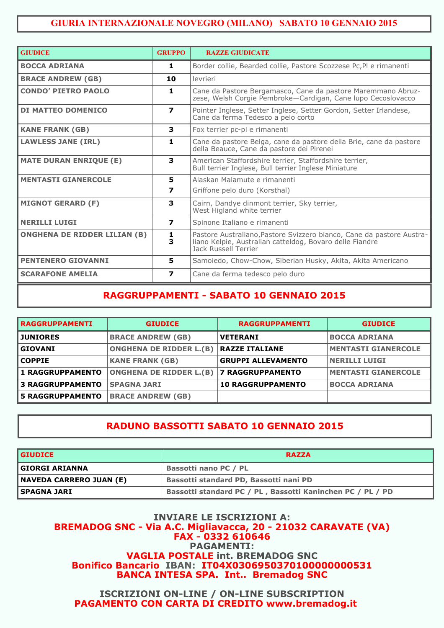#### **GIURIA INTERNAZIONALE NOVEGRO (MILANO) SABATO 10 GENNAIO 2015**

| <b>GIUDICE</b>                      | <b>GRUPPO</b>    | <b>RAZZE GIUDICATE</b>                                                                                                                                    |
|-------------------------------------|------------------|-----------------------------------------------------------------------------------------------------------------------------------------------------------|
| <b>BOCCA ADRIANA</b>                | 1                | Border collie, Bearded collie, Pastore Scozzese Pc, Pl e rimanenti                                                                                        |
| <b>BRACE ANDREW (GB)</b>            | 10               | levrieri                                                                                                                                                  |
| <b>CONDO' PIETRO PAOLO</b>          | 1                | Cane da Pastore Bergamasco, Cane da pastore Maremmano Abruz-<br>zese, Welsh Corgie Pembroke-Cardigan, Cane lupo Cecoslovacco                              |
| <b>DI MATTEO DOMENICO</b>           | $\overline{ }$   | Pointer Inglese, Setter Inglese, Setter Gordon, Setter Irlandese,<br>Cane da ferma Tedesco a pelo corto                                                   |
| <b>KANE FRANK (GB)</b>              | 3                | Fox terrier pc-pl e rimanenti                                                                                                                             |
| <b>LAWLESS JANE (IRL)</b>           | 1                | Cane da pastore Belga, cane da pastore della Brie, cane da pastore<br>della Beauce, Cane da pastore dei Pirenei                                           |
| <b>MATE DURAN ENRIQUE (E)</b>       | 3                | American Staffordshire terrier, Staffordshire terrier,<br>Bull terrier Inglese, Bull terrier Inglese Miniature                                            |
| <b>MENTASTI GIANERCOLE</b>          | 5.               | Alaskan Malamute e rimanenti                                                                                                                              |
|                                     | 7                | Griffone pelo duro (Korsthal)                                                                                                                             |
| <b>MIGNOT GERARD (F)</b>            | 3                | Cairn, Dandye dinmont terrier, Sky terrier,<br>West Higland white terrier                                                                                 |
| <b>NERILLI LUIGI</b>                | $\boldsymbol{7}$ | Spinone Italiano e rimanenti                                                                                                                              |
| <b>ONGHENA DE RIDDER LILIAN (B)</b> | 1<br>3           | Pastore Australiano, Pastore Svizzero bianco, Cane da pastore Austra-<br>liano Kelpie, Australian catteldog, Bovaro delle Fiandre<br>Jack Russell Terrier |
| <b>PENTENERO GIOVANNI</b>           | 5                | Samoiedo, Chow-Chow, Siberian Husky, Akita, Akita Americano                                                                                               |
| <b>SCARAFONE AMELIA</b>             | $\boldsymbol{7}$ | Cane da ferma tedesco pelo duro                                                                                                                           |

### **RAGGRUPPAMENTI - SABATO 10 GENNAIO 2015**

| <b>IRAGGRUPPAMENTI</b>  | <b>GIUDICE</b>                 | <b>RAGGRUPPAMENTI</b>     | <b>GIUDICE</b>             |
|-------------------------|--------------------------------|---------------------------|----------------------------|
| <b>JUNIORES</b>         | <b>BRACE ANDREW (GB)</b>       | <b>VETERANI</b>           | <b>BOCCA ADRIANA</b>       |
| GIOVANI                 | <b>ONGHENA DE RIDDER L.(B)</b> | <b>RAZZE ITALIANE</b>     | <b>MENTASTI GIANERCOLE</b> |
| COPPIE                  | <b>KANE FRANK (GB)</b>         | <b>GRUPPI ALLEVAMENTO</b> | <b>NERILLI LUIGI</b>       |
| <b>1 RAGGRUPPAMENTO</b> | <b>ONGHENA DE RIDDER L.(B)</b> | <b>7 RAGGRUPPAMENTO</b>   | <b>MENTASTI GIANERCOLE</b> |
| <b>3 RAGGRUPPAMENTO</b> | <b>SPAGNA JARI</b>             | <b>10 RAGGRUPPAMENTO</b>  | <b>BOCCA ADRIANA</b>       |
| <b>5 RAGGRUPPAMENTO</b> | <b>BRACE ANDREW (GB)</b>       |                           |                            |

### **RADUNO BASSOTTI SABATO 10 GENNAIO 2015**

| <b>GIUDICE</b>          | <b>RAZZA</b>                                               |  |
|-------------------------|------------------------------------------------------------|--|
| GIORGI ARIANNA          | Bassotti nano PC / PL                                      |  |
| NAVEDA CARRERO JUAN (E) | <b>Bassotti standard PD, Bassotti nani PD</b>              |  |
| l SPAGNA JARI           | Bassotti standard PC / PL, Bassotti Kaninchen PC / PL / PD |  |

#### **INVIARE LE ISCRIZIONI A: BREMADOG SNC - Via A.C. Migliavacca, 20 - 21032 CARAVATE (VA) FAX - 0332 610646 PAGAMENTI: VAGLIA POSTALE int. BREMADOG SNC Bonifico Bancario IBAN: IT04X0306950370100000000531 BANCA INTESA SPA. Int.. Bremadog SNC**

**ISCRIZIONI ON-LINE / ON-LINE SUBSCRIPTION PAGAMENTO CON CARTA DI CREDITO www.bremadog.it**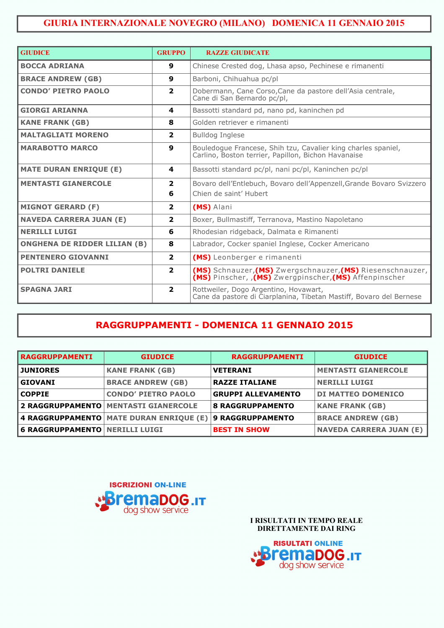## **GIURIA INTERNAZIONALE NOVEGRO (MILANO) DOMENICA 11 GENNAIO 2015**

| <b>GIUDICE</b>                      | <b>GRUPPO</b>    | <b>RAZZE GIUDICATE</b>                                                                                                                                     |  |  |
|-------------------------------------|------------------|------------------------------------------------------------------------------------------------------------------------------------------------------------|--|--|
| <b>BOCCA ADRIANA</b>                | 9                | Chinese Crested dog, Lhasa apso, Pechinese e rimanenti                                                                                                     |  |  |
| <b>BRACE ANDREW (GB)</b>            | 9                | Barboni, Chihuahua pc/pl                                                                                                                                   |  |  |
| <b>CONDO' PIETRO PAOLO</b>          | 2                | Dobermann, Cane Corso, Cane da pastore dell'Asia centrale,<br>Cane di San Bernardo pc/pl,                                                                  |  |  |
| <b>GIORGI ARIANNA</b>               | 4                | Bassotti standard pd, nano pd, kaninchen pd                                                                                                                |  |  |
| <b>KANE FRANK (GB)</b>              | 8                | Golden retriever e rimanenti                                                                                                                               |  |  |
| <b>MALTAGLIATI MORENO</b>           | $\overline{2}$   | <b>Bulldog Inglese</b>                                                                                                                                     |  |  |
| <b>MARABOTTO MARCO</b>              | $\boldsymbol{9}$ | Bouledogue Francese, Shih tzu, Cavalier king charles spaniel,<br>Carlino, Boston terrier, Papillon, Bichon Havanaise                                       |  |  |
| <b>MATE DURAN ENRIQUE (E)</b>       | 4                | Bassotti standard pc/pl, nani pc/pl, Kaninchen pc/pl                                                                                                       |  |  |
| <b>MENTASTI GIANERCOLE</b>          | $\overline{2}$   | Bovaro dell'Entlebuch, Bovaro dell'Appenzell, Grande Bovaro Svizzero                                                                                       |  |  |
|                                     | 6                | Chien de saint' Hubert                                                                                                                                     |  |  |
| <b>MIGNOT GERARD (F)</b>            | $\overline{2}$   | (MS) Alani                                                                                                                                                 |  |  |
| <b>NAVEDA CARRERA JUAN (E)</b>      | $\overline{2}$   | Boxer, Bullmastiff, Terranova, Mastino Napoletano                                                                                                          |  |  |
| <b>NERILLI LUIGI</b>                | 6                | Rhodesian ridgeback, Dalmata e Rimanenti                                                                                                                   |  |  |
| <b>ONGHENA DE RIDDER LILIAN (B)</b> | 8                | Labrador, Cocker spaniel Inglese, Cocker Americano                                                                                                         |  |  |
| <b>PENTENERO GIOVANNI</b>           | $\overline{2}$   | (MS) Leonberger e rimanenti                                                                                                                                |  |  |
| <b>POLTRI DANIELE</b>               | $\overline{2}$   | (MS) Schnauzer, (MS) Zwergschnauzer, (MS) Riesenschnauzer,<br>$\overline{(MS)}$ Pinscher, $\overline{(MS)}$ Zwergpinscher, $\overline{(MS)}$ Affenpinscher |  |  |
| <b>SPAGNA JARI</b>                  | $\overline{2}$   | Rottweiler, Dogo Argentino, Hovawart,<br>Cane da pastore di Ciarplanina, Tibetan Mastiff, Bovaro del Bernese                                               |  |  |

## **RAGGRUPPAMENTI - DOMENICA 11 GENNAIO 2015**

| <b>RAGGRUPPAMENTI</b>                 | <b>GIUDICE</b>                          | <b>RAGGRUPPAMENTI</b>     | <b>GIUDICE</b>                 |
|---------------------------------------|-----------------------------------------|---------------------------|--------------------------------|
| <b>JUNIORES</b>                       | <b>KANE FRANK (GB)</b>                  | <b>VETERANI</b>           | <b>MENTASTI GIANERCOLE</b>     |
| <b>GIOVANI</b>                        | <b>BRACE ANDREW (GB)</b>                | <b>RAZZE ITALIANE</b>     | <b>NERILLI LUIGI</b>           |
| <b>COPPIE</b>                         | <b>CONDO' PIETRO PAOLO</b>              | <b>GRUPPI ALLEVAMENTO</b> | DI MATTEO DOMENICO             |
|                                       | 2 RAGGRUPPAMENTO MENTASTI GIANERCOLE    | <b>8 RAGGRUPPAMENTO</b>   | <b>KANE FRANK (GB)</b>         |
|                                       | 4 RAGGRUPPAMENTO MATE DURAN ENRIQUE (E) | 9 RAGGRUPPAMENTO          | <b>BRACE ANDREW (GB)</b>       |
| <b>6 RAGGRUPPAMENTO NERILLI LUIGI</b> |                                         | <b>BEST IN SHOW</b>       | <b>NAVEDA CARRERA JUAN (E)</b> |